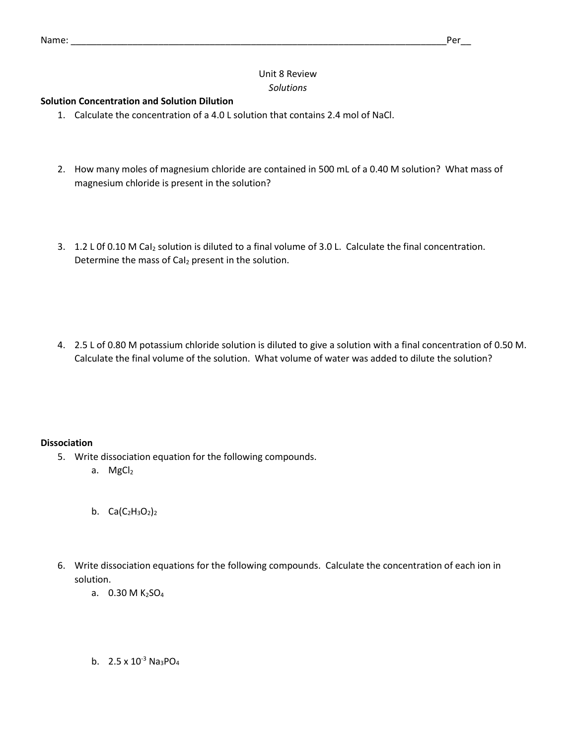# Unit 8 Review *Solutions*

## **Solution Concentration and Solution Dilution**

- 1. Calculate the concentration of a 4.0 L solution that contains 2.4 mol of NaCl.
- 2. How many moles of magnesium chloride are contained in 500 mL of a 0.40 M solution? What mass of magnesium chloride is present in the solution?
- 3. 1.2 L 0f 0.10 M CaI<sub>2</sub> solution is diluted to a final volume of 3.0 L. Calculate the final concentration. Determine the mass of CaI<sub>2</sub> present in the solution.
- 4. 2.5 L of 0.80 M potassium chloride solution is diluted to give a solution with a final concentration of 0.50 M. Calculate the final volume of the solution. What volume of water was added to dilute the solution?

## **Dissociation**

- 5. Write dissociation equation for the following compounds.
	- a. MgCl<sub>2</sub>
	- b.  $Ca(C_2H_3O_2)_2$
- 6. Write dissociation equations for the following compounds. Calculate the concentration of each ion in solution.
	- a.  $0.30 M K<sub>2</sub>SO<sub>4</sub>$
	- b.  $2.5 \times 10^{-3}$  Na<sub>3</sub>PO<sub>4</sub>